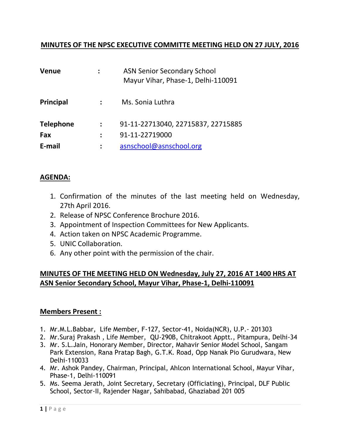### **MINUTES OF THE NPSC EXECUTIVE COMMITTE MEETING HELD ON 27 JULY, 2016**

| <b>Venue</b>     | <b>ASN Senior Secondary School</b><br>Mayur Vihar, Phase-1, Delhi-110091 |  |
|------------------|--------------------------------------------------------------------------|--|
| Principal        | Ms. Sonia Luthra                                                         |  |
| <b>Telephone</b> | 91-11-22713040, 22715837, 22715885                                       |  |
| Fax              | 91-11-22719000                                                           |  |
| E-mail           | asnschool@asnschool.org                                                  |  |

#### **AGENDA:**

- 1. Confirmation of the minutes of the last meeting held on Wednesday, 27th April 2016.
- 2. Release of NPSC Conference Brochure 2016.
- 3. Appointment of Inspection Committees for New Applicants.
- 4. Action taken on NPSC Academic Programme.
- 5. UNIC Collaboration.
- 6. Any other point with the permission of the chair.

## **MINUTES OF THE MEETING HELD ON Wednesday, July 27, 2016 AT 1400 HRS AT ASN Senior Secondary School, Mayur Vihar, Phase-1, Delhi-110091**

#### **Members Present :**

- 1. Mr.M.L.Babbar, Life Member, F-127, Sector-41, Noida(NCR), U.P.- 201303
- 2. Mr.Suraj Prakash , Life Member, QU-290B, Chitrakoot Apptt., Pitampura, Delhi-34
- 3. Mr. S.L.Jain, Honorary Member, Director, Mahavir Senior Model School, Sangam Park Extension, Rana Pratap Bagh, G.T.K. Road, Opp Nanak Pio Gurudwara, New Delhi-110033
- 4. Mr. Ashok Pandey, Chairman, Principal, Ahlcon International School, Mayur Vihar, Phase-1, Delhi-110091
- 5. Ms. Seema Jerath, Joint Secretary, Secretary (Officiating), Principal, DLF Public School, Sector-II, Rajender Nagar, Sahibabad, Ghaziabad 201 005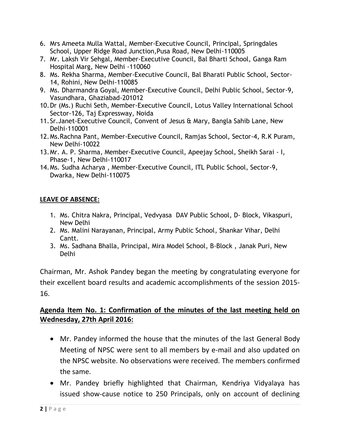- 6. Mrs Ameeta Mulla Wattal, Member-Executive Council, Principal, Springdales School, Upper Ridge Road Junction,Pusa Road, New Delhi-110005
- 7. Mr. Laksh Vir Sehgal, Member-Executive Council, Bal Bharti School, Ganga Ram Hospital Marg, New Delhi -110060
- 8. Ms. Rekha Sharma, Member-Executive Council, Bal Bharati Public School, Sector-14, Rohini, New Delhi-110085
- 9. Ms. Dharmandra Goyal, Member-Executive Council, Delhi Public School, Sector-9, Vasundhara, Ghaziabad-201012
- 10.Dr (Ms.) Ruchi Seth, Member-Executive Council, Lotus Valley International School Sector-126, Taj Expressway, Noida
- 11.Sr.Janet-Executive Council, Convent of Jesus & Mary, Bangla Sahib Lane, New Delhi-110001
- 12.Ms.Rachna Pant, Member-Executive Council, Ramjas School, Sector-4, R.K Puram, New Delhi-10022
- 13.Mr. A. P. Sharma, Member-Executive Council, Apeejay School, Sheikh Sarai I, Phase-1, New Delhi-110017
- 14.Ms. Sudha Acharya , Member-Executive Council, ITL Public School, Sector-9, Dwarka, New Delhi-110075

### **LEAVE OF ABSENCE:**

- 1. Ms. Chitra Nakra, Principal, Vedvyasa DAV Public School, D- Block, Vikaspuri, New Delhi
- 2. Ms. Malini Narayanan, Principal, Army Public School, Shankar Vihar, Delhi Cantt.
- 3. Ms. Sadhana Bhalla, Principal, Mira Model School, B-Block , Janak Puri, New Delhi

Chairman, Mr. Ashok Pandey began the meeting by congratulating everyone for their excellent board results and academic accomplishments of the session 2015- 16.

# **Agenda Item No. 1: Confirmation of the minutes of the last meeting held on Wednesday, 27th April 2016:**

- Mr. Pandey informed the house that the minutes of the last General Body Meeting of NPSC were sent to all members by e-mail and also updated on the NPSC website. No observations were received. The members confirmed the same.
- Mr. Pandey briefly highlighted that Chairman, Kendriya Vidyalaya has issued show-cause notice to 250 Principals, only on account of declining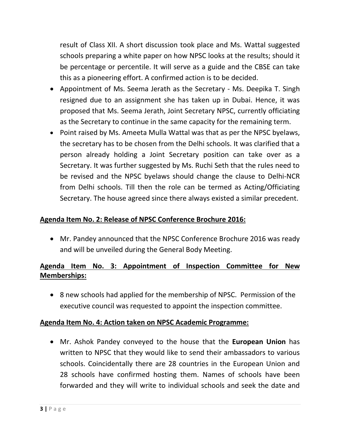result of Class XII. A short discussion took place and Ms. Wattal suggested schools preparing a white paper on how NPSC looks at the results; should it be percentage or percentile. It will serve as a guide and the CBSE can take this as a pioneering effort. A confirmed action is to be decided.

- Appointment of Ms. Seema Jerath as the Secretary Ms. Deepika T. Singh resigned due to an assignment she has taken up in Dubai. Hence, it was proposed that Ms. Seema Jerath, Joint Secretary NPSC, currently officiating as the Secretary to continue in the same capacity for the remaining term.
- Point raised by Ms. Ameeta Mulla Wattal was that as per the NPSC byelaws, the secretary has to be chosen from the Delhi schools. It was clarified that a person already holding a Joint Secretary position can take over as a Secretary. It was further suggested by Ms. Ruchi Seth that the rules need to be revised and the NPSC byelaws should change the clause to Delhi-NCR from Delhi schools. Till then the role can be termed as Acting/Officiating Secretary. The house agreed since there always existed a similar precedent.

## **Agenda Item No. 2: Release of NPSC Conference Brochure 2016:**

 Mr. Pandey announced that the NPSC Conference Brochure 2016 was ready and will be unveiled during the General Body Meeting.

# **Agenda Item No. 3: Appointment of Inspection Committee for New Memberships:**

 8 new schools had applied for the membership of NPSC. Permission of the executive council was requested to appoint the inspection committee.

### **Agenda Item No. 4: Action taken on NPSC Academic Programme:**

 Mr. Ashok Pandey conveyed to the house that the **European Union** has written to NPSC that they would like to send their ambassadors to various schools. Coincidentally there are 28 countries in the European Union and 28 schools have confirmed hosting them. Names of schools have been forwarded and they will write to individual schools and seek the date and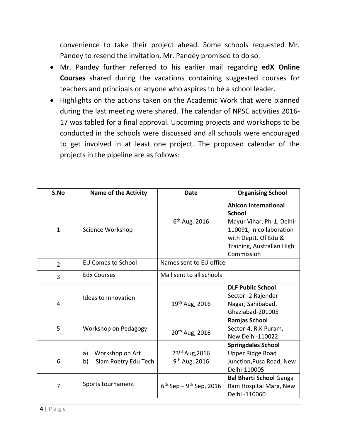convenience to take their project ahead. Some schools requested Mr. Pandey to resend the invitation. Mr. Pandey promised to do so.

- Mr. Pandey further referred to his earlier mail regarding **edX Online Courses** shared during the vacations containing suggested courses for teachers and principals or anyone who aspires to be a school leader.
- Highlights on the actions taken on the Academic Work that were planned during the last meeting were shared. The calendar of NPSC activities 2016- 17 was tabled for a final approval. Upcoming projects and workshops to be conducted in the schools were discussed and all schools were encouraged to get involved in at least one project. The proposed calendar of the projects in the pipeline are as follows:

| S.No           | <b>Name of the Activity</b>                         | <b>Date</b>                              | <b>Organising School</b>                                                                                                                                                 |
|----------------|-----------------------------------------------------|------------------------------------------|--------------------------------------------------------------------------------------------------------------------------------------------------------------------------|
| $\mathbf{1}$   | Science Workshop                                    | $6^{th}$ Aug, 2016                       | <b>Ahlcon International</b><br><b>School</b><br>Mayur Vihar, Ph-1, Delhi-<br>110091, in collaboration<br>with Deptt. Of Edu &<br>Training, Australian High<br>Commission |
| $\overline{2}$ | <b>EU Comes to School</b>                           | Names sent to EU office                  |                                                                                                                                                                          |
| 3              | <b>Edx Courses</b>                                  | Mail sent to all schools                 |                                                                                                                                                                          |
| 4              | Ideas to Innovation                                 | 19 <sup>th</sup> Aug, 2016               | <b>DLF Public School</b><br>Sector -2 Rajender<br>Nagar, Sahibabad,<br>Ghaziabad-201005                                                                                  |
| 5              | Workshop on Pedagogy                                | 20 <sup>th</sup> Aug, 2016               | Ramjas School<br>Sector-4, R.K Puram,<br>New Delhi-110022                                                                                                                |
| 6              | Workshop on Art<br>a)<br>Slam Poetry Edu Tech<br>b) | 23rd Aug, 2016<br>$9th$ Aug, 2016        | <b>Springdales School</b><br>Upper Ridge Road<br>Junction, Pusa Road, New<br>Delhi-110005                                                                                |
| $\overline{7}$ | Sports tournament                                   | $6^{th}$ Sep – 9 <sup>th</sup> Sep, 2016 | <b>Bal Bharti School Ganga</b><br>Ram Hospital Marg, New<br>Delhi -110060                                                                                                |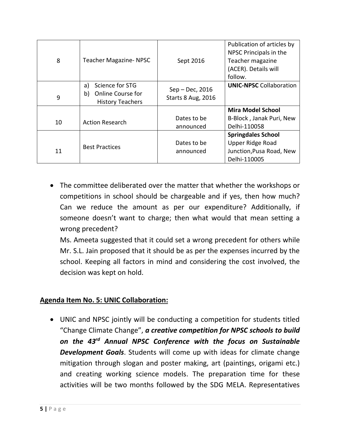| 8  | <b>Teacher Magazine- NPSC</b>                                                      | Sept 2016                             | Publication of articles by<br>NPSC Principals in the<br>Teacher magazine<br>(ACER). Details will<br>follow. |
|----|------------------------------------------------------------------------------------|---------------------------------------|-------------------------------------------------------------------------------------------------------------|
| 9  | Science for STG<br>a)<br><b>Online Course for</b><br>b)<br><b>History Teachers</b> | Sep - Dec, 2016<br>Starts 8 Aug, 2016 | <b>UNIC-NPSC Collaboration</b>                                                                              |
|    |                                                                                    |                                       | <b>Mira Model School</b>                                                                                    |
| 10 | <b>Action Research</b>                                                             | Dates to be                           | B-Block, Janak Puri, New                                                                                    |
|    |                                                                                    | announced                             | Delhi-110058                                                                                                |
|    |                                                                                    |                                       | <b>Springdales School</b>                                                                                   |
| 11 | <b>Best Practices</b>                                                              | Dates to be                           | Upper Ridge Road                                                                                            |
|    |                                                                                    | announced                             | Junction, Pusa Road, New                                                                                    |
|    |                                                                                    |                                       | Delhi-110005                                                                                                |

 The committee deliberated over the matter that whether the workshops or competitions in school should be chargeable and if yes, then how much? Can we reduce the amount as per our expenditure? Additionally, if someone doesn't want to charge; then what would that mean setting a wrong precedent?

Ms. Ameeta suggested that it could set a wrong precedent for others while Mr. S.L. Jain proposed that it should be as per the expenses incurred by the school. Keeping all factors in mind and considering the cost involved, the decision was kept on hold.

## **Agenda Item No. 5: UNIC Collaboration:**

 UNIC and NPSC jointly will be conducting a competition for students titled "Change Climate Change", *a creative competition for NPSC schools to build on the 43rd Annual NPSC Conference with the focus on Sustainable Development Goals*. Students will come up with ideas for climate change mitigation through slogan and poster making, art (paintings, origami etc.) and creating working science models. The preparation time for these activities will be two months followed by the SDG MELA. Representatives